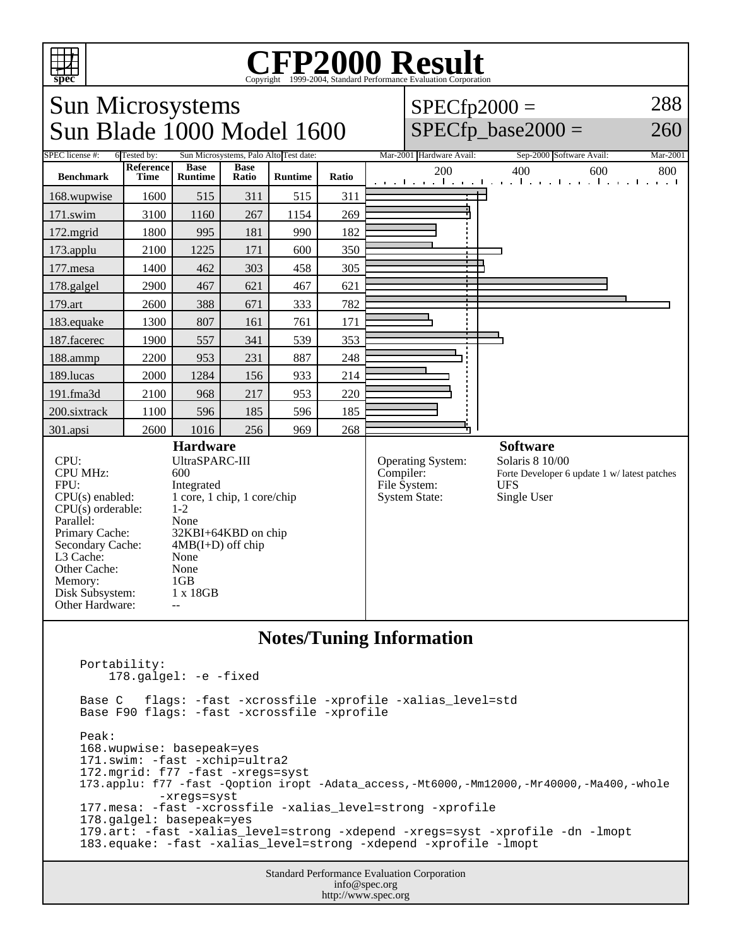

## Copyright ©1999-2004, Standard Performance Evaluation Corporation

| <b>Sun Microsystems</b><br>Sun Blade 1000 Model 1600                                                                                                                                                                     |                                                                                                                                                                                                                         |                               |                      |                |           |                                                                  |                                                                                                                 | 288<br>$SPECfp2000 =$<br>$SPECfp\_base2000 =$<br>260                               |
|--------------------------------------------------------------------------------------------------------------------------------------------------------------------------------------------------------------------------|-------------------------------------------------------------------------------------------------------------------------------------------------------------------------------------------------------------------------|-------------------------------|----------------------|----------------|-----------|------------------------------------------------------------------|-----------------------------------------------------------------------------------------------------------------|------------------------------------------------------------------------------------|
| SPEC license #:<br>Sun Microsystems, Palo Alto Test date:<br>6 Tested by:                                                                                                                                                |                                                                                                                                                                                                                         |                               |                      |                |           |                                                                  | Mar-2001 Hardware Avail:                                                                                        | Mar-2001<br>Sep-2000 Software Avail:                                               |
| <b>Benchmark</b>                                                                                                                                                                                                         | Reference<br>Time                                                                                                                                                                                                       | <b>Base</b><br><b>Runtime</b> | <b>Base</b><br>Ratio | <b>Runtime</b> | Ratio     |                                                                  | 200                                                                                                             | 400<br>600<br>800<br>والمتحارث والمتمار والمتعارض والمتعارفات والمنافذة<br>1. 1. 1 |
| 168.wupwise                                                                                                                                                                                                              | 1600                                                                                                                                                                                                                    | 515                           | 311                  | 515            | 311       |                                                                  |                                                                                                                 |                                                                                    |
| 171.swim                                                                                                                                                                                                                 | 3100                                                                                                                                                                                                                    | 1160                          | 267                  | 1154           | 269       |                                                                  |                                                                                                                 |                                                                                    |
| 172.mgrid                                                                                                                                                                                                                | 1800                                                                                                                                                                                                                    | 995                           | 181                  | 990            | 182       |                                                                  |                                                                                                                 |                                                                                    |
| 173.applu                                                                                                                                                                                                                | 2100                                                                                                                                                                                                                    | 1225                          | 171                  | 600            | 350       |                                                                  |                                                                                                                 |                                                                                    |
| 177.mesa                                                                                                                                                                                                                 | 1400                                                                                                                                                                                                                    | 462                           | 303                  | 458            | 305       |                                                                  |                                                                                                                 |                                                                                    |
| 178.galgel                                                                                                                                                                                                               | 2900                                                                                                                                                                                                                    | 467                           | 621                  | 467            | 621       |                                                                  |                                                                                                                 |                                                                                    |
| 179.art                                                                                                                                                                                                                  | 2600                                                                                                                                                                                                                    | 388                           | 671                  | 333            | 782       |                                                                  |                                                                                                                 |                                                                                    |
| 183.equake                                                                                                                                                                                                               | 1300                                                                                                                                                                                                                    | 807                           | 161                  | 761            | 171       |                                                                  |                                                                                                                 |                                                                                    |
| 187.facerec                                                                                                                                                                                                              | 1900                                                                                                                                                                                                                    | 557                           | 341                  | 539            | 353       |                                                                  |                                                                                                                 |                                                                                    |
| 188.ammp                                                                                                                                                                                                                 | 2200                                                                                                                                                                                                                    | 953                           | 231                  | 887            | 248       |                                                                  |                                                                                                                 |                                                                                    |
| 189.lucas                                                                                                                                                                                                                | 2000                                                                                                                                                                                                                    | 1284                          | 156                  | 933            | 214       |                                                                  |                                                                                                                 |                                                                                    |
| 191.fma3d                                                                                                                                                                                                                | 2100                                                                                                                                                                                                                    | 968                           | 217                  | 953            | 220       |                                                                  |                                                                                                                 |                                                                                    |
| 200.sixtrack                                                                                                                                                                                                             | 1100                                                                                                                                                                                                                    | 596                           | 185                  | 596            | 185       |                                                                  |                                                                                                                 |                                                                                    |
| 301.apsi                                                                                                                                                                                                                 | 2600                                                                                                                                                                                                                    | 1016                          | 256                  | 969            | 268       |                                                                  |                                                                                                                 |                                                                                    |
| CPU:<br><b>CPU MHz:</b><br>FPU:<br>$CPU(s)$ enabled:<br>$CPU(s)$ orderable:<br>Parallel:<br>Primary Cache:<br>Secondary Cache:<br>L <sub>3</sub> Cache:<br>Other Cache:<br>Memory:<br>Disk Subsystem:<br>Other Hardware: | <b>Hardware</b><br>UltraSPARC-III<br>600<br>Integrated<br>1 core, 1 chip, 1 core/chip<br>$1 - 2$<br>None<br>32KBI+64KBD on chip<br>$4MB(I+D)$ off chip<br>None<br>None<br>1 <sub>GB</sub><br>1 x 18GB<br>$\overline{a}$ |                               |                      |                | Compiler: | <b>Operating System:</b><br>File System:<br><b>System State:</b> | <b>Software</b><br>Solaris 8 10/00<br>Forte Developer 6 update 1 w/ latest patches<br><b>UFS</b><br>Single User |                                                                                    |
| <b>Notes/Tuning Information</b>                                                                                                                                                                                          |                                                                                                                                                                                                                         |                               |                      |                |           |                                                                  |                                                                                                                 |                                                                                    |

```
 Portability: 
    178.galgel: -e -fixed
Base C flags: -fast -xcrossfile -xprofile -xalias_level=std
Base F90 flags: -fast -xcrossfile -xprofile 
Peak:
168.wupwise: basepeak=yes
171.swim: -fast -xchip=ultra2
172.mgrid: f77 -fast -xregs=syst
173.applu: f77 -fast -Qoption iropt -Adata_access,-Mt6000,-Mm12000,-Mr40000,-Ma400,-whole 
           -xregs=syst
177.mesa: -fast -xcrossfile -xalias_level=strong -xprofile
178.galgel: basepeak=yes
179.art: -fast -xalias_level=strong -xdepend -xregs=syst -xprofile -dn -lmopt
183.equake: -fast -xalias_level=strong -xdepend -xprofile -lmopt
```
Standard Performance Evaluation Corporation info@spec.org http://www.spec.org